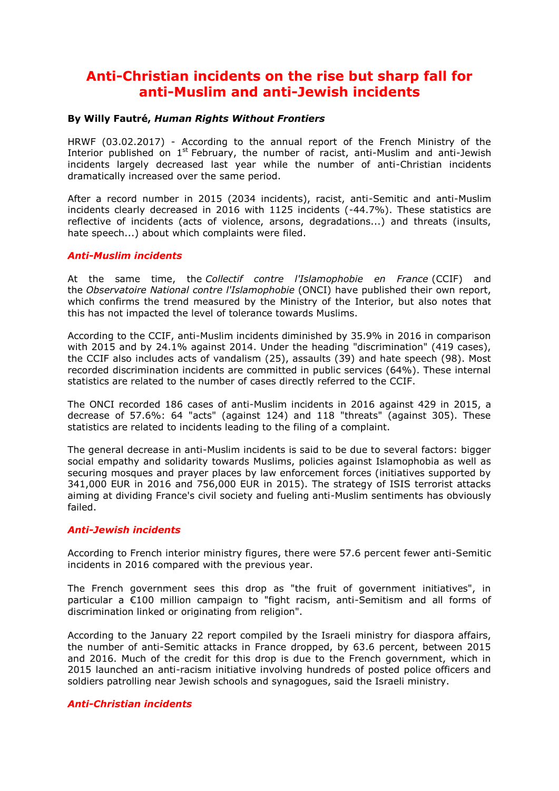## **Anti-Christian incidents on the rise but sharp fall for anti-Muslim and anti-Jewish incidents**

#### **By Willy Fautré,** *Human Rights Without Frontiers*

HRWF (03.02.2017) - According to the annual report of the French Ministry of the Interior published on  $1^{st}$  February, the number of racist, anti-Muslim and anti-Jewish incidents largely decreased last year while the number of anti-Christian incidents dramatically increased over the same period.

After a record number in 2015 (2034 incidents), racist, anti-Semitic and anti-Muslim incidents clearly decreased in 2016 with 1125 incidents (-44.7%). These statistics are reflective of incidents (acts of violence, arsons, degradations...) and threats (insults, hate speech...) about which complaints were filed.

#### *Anti-Muslim incidents*

At the same time, the *Collectif contre l'Islamophobie en France* (CCIF) and the *Observatoire National contre l'Islamophobie* (ONCI) have published their own report, which confirms the trend measured by the Ministry of the Interior, but also notes that this has not impacted the level of tolerance towards Muslims.

According to the CCIF, anti-Muslim incidents diminished by 35.9% in 2016 in comparison with 2015 and by 24.1% against 2014. Under the heading "discrimination" (419 cases), the CCIF also includes acts of vandalism (25), assaults (39) and hate speech (98). Most recorded discrimination incidents are committed in public services (64%). These internal statistics are related to the number of cases directly referred to the CCIF.

The ONCI recorded 186 cases of anti-Muslim incidents in 2016 against 429 in 2015, a decrease of 57.6%: 64 "acts" (against 124) and 118 "threats" (against 305). These statistics are related to incidents leading to the filing of a complaint.

The general decrease in anti-Muslim incidents is said to be due to several factors: bigger social empathy and solidarity towards Muslims, policies against Islamophobia as well as securing mosques and prayer places by law enforcement forces (initiatives supported by 341,000 EUR in 2016 and 756,000 EUR in 2015). The strategy of ISIS terrorist attacks aiming at dividing France's civil society and fueling anti-Muslim sentiments has obviously failed.

#### *Anti-Jewish incidents*

According to French interior ministry figures, there were 57.6 percent fewer anti-Semitic incidents in 2016 compared with the previous year.

The French government sees this drop as "the fruit of government initiatives", in particular a €100 million campaign to "fight racism, anti-Semitism and all forms of discrimination linked or originating from religion".

According to the January 22 report compiled by the Israeli ministry for diaspora affairs, the number of anti-Semitic attacks in France dropped, by 63.6 percent, between 2015 and 2016. Much of the credit for this drop is due to the French government, which in 2015 launched an anti-racism initiative involving hundreds of posted police officers and soldiers patrolling near Jewish schools and synagogues, said the Israeli ministry.

#### *Anti-Christian incidents*